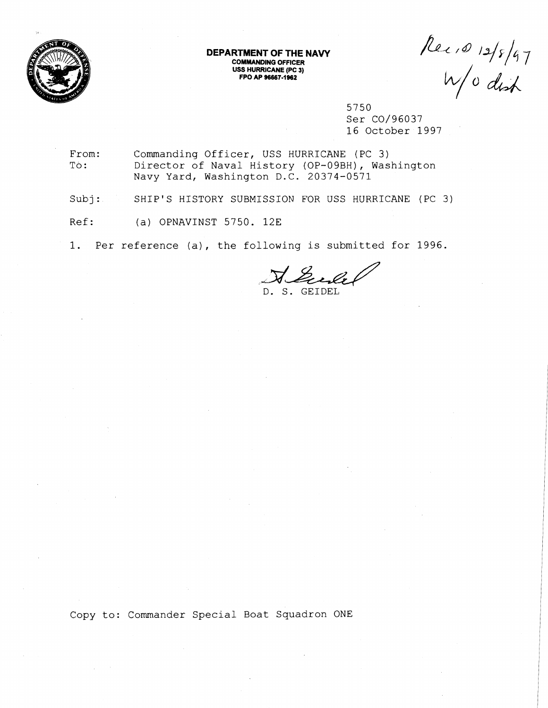

**DEPARTMENT OF THE NAVY COMMANDING OFFICER USS HURRICANE (PC 3) FPO AP 96667-1982** 

Rec 10 12/8/97

5750 Ser C0/96037 16 October 1997

From: Commanding Officer, USS HURRICANE (PC 3) To: Director of Naval History (OP-09BH), Washington Navy Yard, Washington D.C. 20374-0571

Subj: SHIP'S HISTORY SUBMISSION FOR USS HURRICANE (PC 3)

Ref: (a) OPNAVINST 5750. 12E

1. Per reference (a), the following is submitted for 1996.

Gules D. S. GEIDEL

Copy to: Commander Special Boat Squadron ONE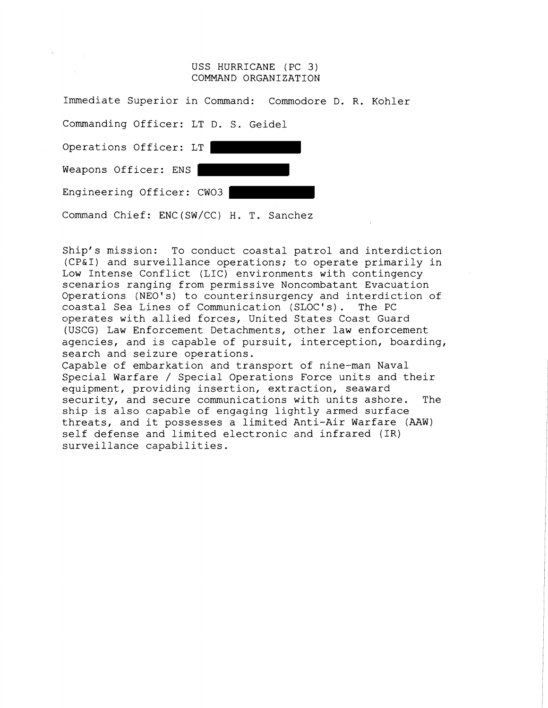## USS HURRICANE (PC 3) COMMAND ORGANIZATION

| Immediate Superior in Command: Commodore D. R. Kohler |  |
|-------------------------------------------------------|--|
| Commanding Officer: LT D. S. Geidel                   |  |
| Operations Officer: LT                                |  |
| Weapons Officer: ENS                                  |  |
| Engineering Officer: CWO3                             |  |
| Command Chief: ENC(SW/CC) H. T. Sanchez               |  |

Ship's mission: To conduct coastal patrol and interdiction (CP&I) and surveillance operations; to operate primarily in Low Intense Conflict (LIC) environments with contingency scenarios ranging from permissive Noncombatant Evacuation Operations (NEO's) to counterinsurgency and interdiction of coastal Sea Lines of Communication (SLOC's). The PC operates with allied forces, United States Coast Guard (USCG) Law Enforcement Detachments, other law enforcement agencies, and is capable of pursuit, interception, boarding, search and seizure operations. Capable of embarkation and transport of nine-man Naval Special Warfare / Special Operations Force units and their equipment, providing insertion, extraction, seaward security, and secure communications with units ashore. The ship is also capable of engaging lightly armed surface

threats, and it possesses a limited Anti-Air Warfare (AAW) self defense and limited electronic and infrared (IR) surveillance capabilities.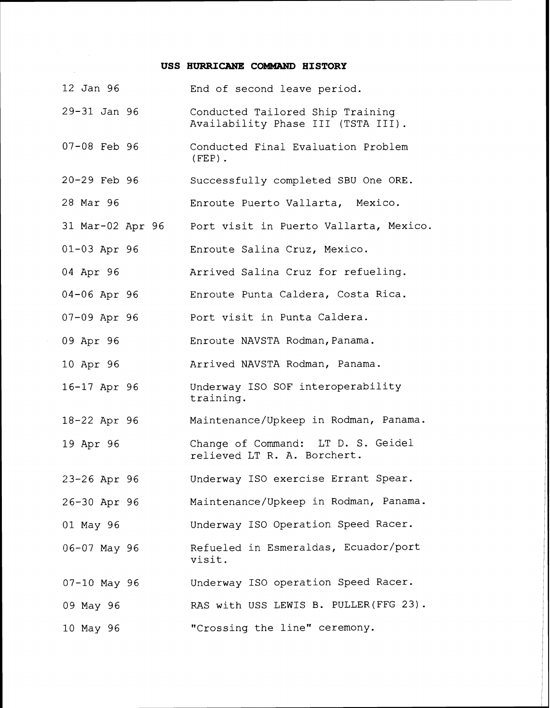## USS HURRICANE COMMAND HISTORY

| 12 Jan 96          | End of second leave period.                                            |
|--------------------|------------------------------------------------------------------------|
| 29-31 Jan 96       | Conducted Tailored Ship Training<br>Availability Phase III (TSTA III). |
| $07-08$ Feb 96     | Conducted Final Evaluation Problem<br>$(FEP)$ .                        |
| 20-29 Feb 96       | Successfully completed SBU One ORE.                                    |
| 28 Mar 96          | Enroute Puerto Vallarta, Mexico.                                       |
| 31 Mar-02 Apr 96   | Port visit in Puerto Vallarta, Mexico.                                 |
| $01-03$ Apr 96     | Enroute Salina Cruz, Mexico.                                           |
| 04 Apr 96          | Arrived Salina Cruz for refueling.                                     |
| $04 - 06$ Apr $96$ | Enroute Punta Caldera, Costa Rica.                                     |
| $07-09$ Apr $96$   | Port visit in Punta Caldera.                                           |
| 09 Apr 96          | Enroute NAVSTA Rodman, Panama.                                         |
| 10 Apr 96          | Arrived NAVSTA Rodman, Panama.                                         |
| 16-17 Apr 96       | Underway ISO SOF interoperability<br>training.                         |
| 18-22 Apr 96       | Maintenance/Upkeep in Rodman, Panama.                                  |
| 19 Apr 96          | Change of Command: LT D. S. Geidel<br>relieved LT R. A. Borchert.      |
| 23-26 Apr 96       | Underway ISO exercise Errant Spear.                                    |
| 26-30 Apr 96       | Maintenance/Upkeep in Rodman, Panama.                                  |
| 01 May 96          | Underway ISO Operation Speed Racer.                                    |
| 06-07 May 96       | Refueled in Esmeraldas, Ecuador/port<br>visit.                         |
| $07-10$ May 96     | Underway ISO operation Speed Racer.                                    |
| 09 May 96          | RAS with USS LEWIS B. PULLER (FFG 23).                                 |
| 10 May 96          | "Crossing the line" ceremony.                                          |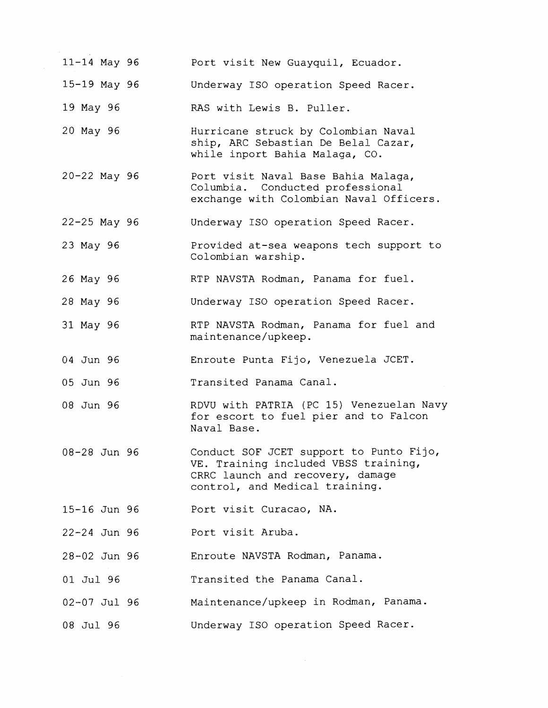| 11-14 May 96     | Port visit New Guayquil, Ecuador.                                                                                                                     |
|------------------|-------------------------------------------------------------------------------------------------------------------------------------------------------|
| 15-19 May 96     | Underway ISO operation Speed Racer.                                                                                                                   |
| 19 May 96        | RAS with Lewis B. Puller.                                                                                                                             |
| 20 May 96        | Hurricane struck by Colombian Naval<br>ship, ARC Sebastian De Belal Cazar,<br>while inport Bahia Malaga, CO.                                          |
| $20 - 22$ May 96 | Port visit Naval Base Bahia Malaga,<br>Columbia. Conducted professional<br>exchange with Colombian Naval Officers.                                    |
| 22-25 May 96     | Underway ISO operation Speed Racer.                                                                                                                   |
| 23 May 96        | Provided at-sea weapons tech support to<br>Colombian warship.                                                                                         |
| 26 May 96        | RTP NAVSTA Rodman, Panama for fuel.                                                                                                                   |
| 28 May 96        | Underway ISO operation Speed Racer.                                                                                                                   |
| 31 May 96        | RTP NAVSTA Rodman, Panama for fuel and<br>maintenance/upkeep.                                                                                         |
| 04 Jun 96        | Enroute Punta Fijo, Venezuela JCET.                                                                                                                   |
| 05 Jun 96        | Transited Panama Canal.                                                                                                                               |
| 08 Jun 96        | RDVU with PATRIA (PC 15) Venezuelan Navy<br>for escort to fuel pier and to Falcon<br>Naval Base.                                                      |
| 08-28 Jun 96     | Conduct SOF JCET support to Punto Fijo,<br>VE. Training included VBSS training,<br>CRRC launch and recovery, damage<br>control, and Medical training. |
| 15-16 Jun 96     | Port visit Curacao, NA.                                                                                                                               |
| 22-24 Jun 96     | Port visit Aruba.                                                                                                                                     |
| 28-02 Jun 96     | Enroute NAVSTA Rodman, Panama.                                                                                                                        |
| 01 Jul 96        | Transited the Panama Canal.                                                                                                                           |
| 02-07 Jul 96     | Maintenance/upkeep in Rodman, Panama.                                                                                                                 |
| 08 Jul 96        | Underway ISO operation Speed Racer.                                                                                                                   |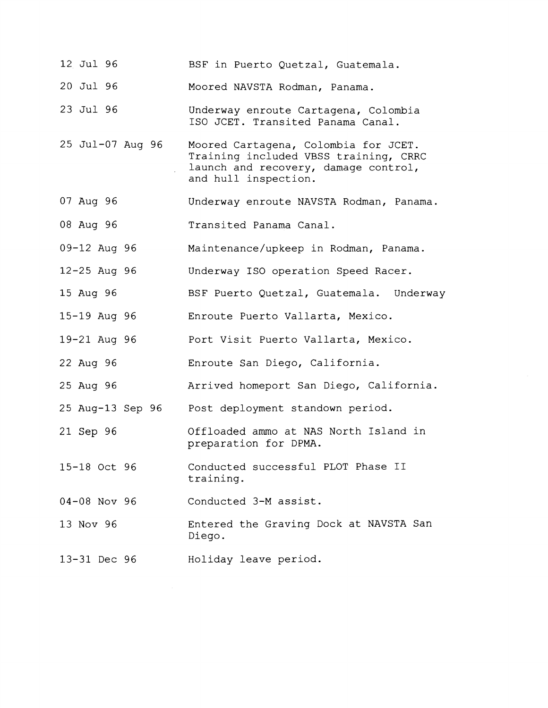| 12 Jul 96        | BSF in Puerto Quetzal, Guatemala.                                                                                                             |
|------------------|-----------------------------------------------------------------------------------------------------------------------------------------------|
| 20 Jul 96        | Moored NAVSTA Rodman, Panama.                                                                                                                 |
| 23 Jul 96        | Underway enroute Cartagena, Colombia<br>ISO JCET. Transited Panama Canal.                                                                     |
| 25 Jul-07 Aug 96 | Moored Cartagena, Colombia for JCET.<br>Training included VBSS training, CRRC<br>launch and recovery, damage control,<br>and hull inspection. |
| 07 Aug 96        | Underway enroute NAVSTA Rodman, Panama.                                                                                                       |
| 08 Aug 96        | Transited Panama Canal.                                                                                                                       |
| $09 - 12$ Aug 96 | Maintenance/upkeep in Rodman, Panama.                                                                                                         |
| $12 - 25$ Aug 96 | Underway ISO operation Speed Racer.                                                                                                           |
| 15 Aug 96        | BSF Puerto Quetzal, Guatemala. Underway                                                                                                       |
| 15-19 Aug 96     | Enroute Puerto Vallarta, Mexico.                                                                                                              |
| 19-21 Aug 96     | Port Visit Puerto Vallarta, Mexico.                                                                                                           |
| 22 Aug 96        | Enroute San Diego, California.                                                                                                                |
| 25 Aug 96        | Arrived homeport San Diego, California.                                                                                                       |
| 25 Aug-13 Sep 96 | Post deployment standown period.                                                                                                              |
| 21 Sep 96        | Offloaded ammo at NAS North Island in<br>preparation for DPMA.                                                                                |
| 15-18 Oct 96     | Conducted successful PLOT Phase II<br>training.                                                                                               |
| 04-08 Nov 96     | Conducted 3-M assist.                                                                                                                         |
| 13 Nov 96        | Entered the Graving Dock at NAVSTA San<br>Diego.                                                                                              |
| 13-31 Dec 96     | Holiday leave period.                                                                                                                         |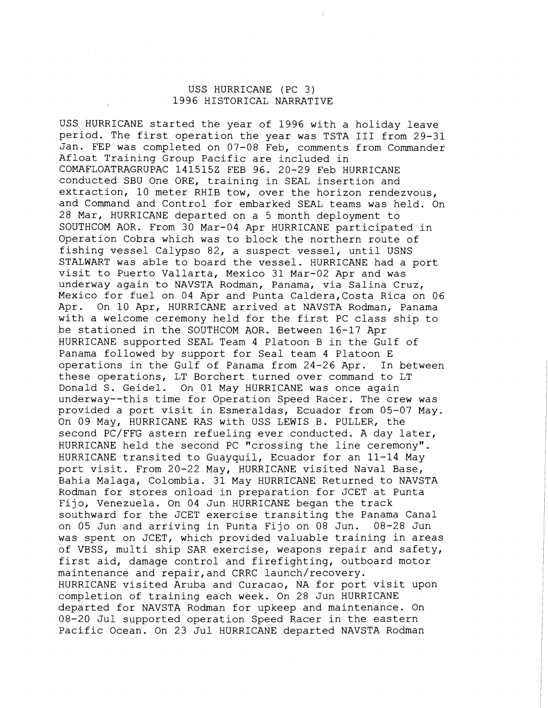## USS HURRICANE (PC 3) 1996 HISTORICAL NARRATIVE

USS HURRICANE started the year of 1996 with a holiday leave period. The first operation the year was TSTA I11 from 29-31 Jan. FEP was completed on 07-08 Feb, comments from Commander Afloat Training Group Pacific are included in COMAFLOATRAGRUPAC 1415152 FEB 96. 20-29 Feb HURRICANE conducted SBU One ORE, training in SEAL insertion and extraction, 10 meter RHIB tow, over the horizon rendezvous, and Command and Control for embarked SEAL teams was held. On 28 Mar, HURRICANE departed on a 5 month deployment to SOUTHCOM AOR. From 30 Mar-04 Apr HURRICANE participated in Operation Cobra which was to block the northern route of fishing vessel Calypso 82, a suspect vessel, until USNS STALWART was able to board the vessel. HURRICANE had a port visit to Puerto Vallarta, Mexico 31 Mar-02 Apr and was underway again to NAVSTA Rodman, Panama, via Salina Cruz, Mexico for fuel on 04 Apr and Punta Caldera,Costa Rica on 06 Apr. On 10 Apr, HURRICANE arrived at NAVSTA Rodman, Panama with a welcome ceremony held for the first PC class ship to be stationed in the SOUTHCOM AOR. Between 16-17 Apr HURRICANE supported SEAL Team 4 Platoon B in the Gulf of Panama followed by support for Seal team 4 Platoon E operations in the Gulf of Panama from 24-26 Apr. In between these operations, LT Borchert turned over command to LT Donald S. Geidel. On 01 May HURRICANE was once again underway--this time for Operation Speed Racer. The crew was provided a port visit in Esmeraldas, Ecuador from 05-07 May. On 09 May, HURRICANE RAS with USS LEWIS B. PULLER, the second PC/FFG astern refueling ever conducted. A day later, HURRICANE held the second PC "crossing the line ceremony". HURRICANE transited to Guayquil, Ecuador for an 11-14 May port visit. From 20-22 May, HURRICANE visited Naval Base, Rahia Malaga, Colombia. 31 May HURRICANE Returned to NAVSTA Rodman for stores onload in preparation for JCET at Punta Fijo, Venezuela. On 04 Jun HURRICANE began the track southward for the JCET exercise transiting the Panama Canal<br>on 05 Jun and arriving in Punta Fijo on 08 Jun. 08-28 Jun on 05 Jun and arriving in Punta Fijo on 08 Jun. was spent on JCET, which provided valuable training in areas of VBSS, multi ship SAR exercise, weapons repair and safety, first aid, damage control and firefighting, outboard motor maintenance and repair,and CRRC launch/recovery. HURRICANE visited Aruba and Curacao, NA for port visit upon completion of training each week. On 28 Jun HURRICANE departed for NAVSTA Rodman for upkeep and maintenance. On 08-20 Jul supported operation Speed Racer in the eastern Pacific Ocean. On 23 Jul HURRICANE departed NAVSTA Rodman